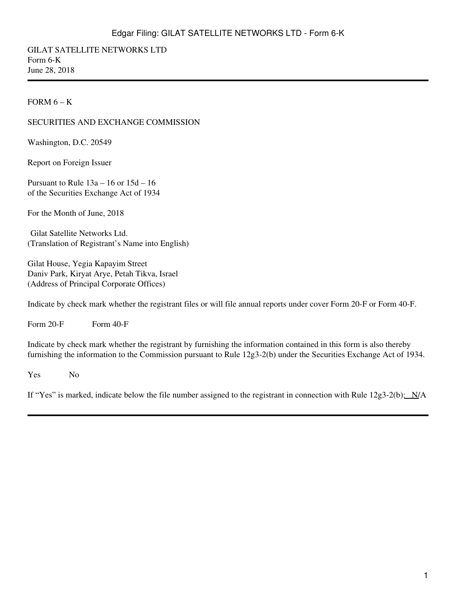GILAT SATELLITE NETWORKS LTD Form 6-K June 28, 2018

#### FORM  $6 - K$

#### SECURITIES AND EXCHANGE COMMISSION

Washington, D.C. 20549

Report on Foreign Issuer

Pursuant to Rule 13a – 16 or 15d – 16 of the Securities Exchange Act of 1934

For the Month of June, 2018

Gilat Satellite Networks Ltd. (Translation of Registrant's Name into English)

Gilat House, Yegia Kapayim Street Daniv Park, Kiryat Arye, Petah Tikva, Israel (Address of Principal Corporate Offices)

Indicate by check mark whether the registrant files or will file annual reports under cover Form 20-F or Form 40-F.

Form  $20-F$  Form  $40-F$ 

Indicate by check mark whether the registrant by furnishing the information contained in this form is also thereby furnishing the information to the Commission pursuant to Rule 12g3-2(b) under the Securities Exchange Act of 1934.

Yes No

If "Yes" is marked, indicate below the file number assigned to the registrant in connection with Rule  $12g3-2(b)$ :  $N/A$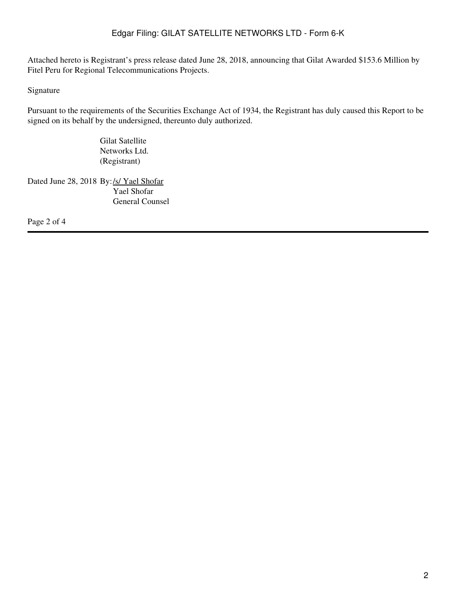Attached hereto is Registrant's press release dated June 28, 2018, announcing that Gilat Awarded \$153.6 Million by Fitel Peru for Regional Telecommunications Projects.

Signature

Pursuant to the requirements of the Securities Exchange Act of 1934, the Registrant has duly caused this Report to be signed on its behalf by the undersigned, thereunto duly authorized.

> Gilat Satellite Networks Ltd. (Registrant)

Dated June 28, 2018 By:/s/ Yael Shofar Yael Shofar General Counsel

Page 2 of 4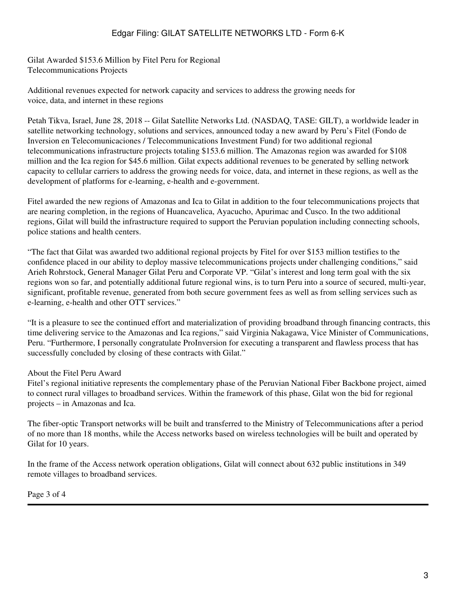Gilat Awarded \$153.6 Million by Fitel Peru for Regional Telecommunications Projects

Additional revenues expected for network capacity and services to address the growing needs for voice, data, and internet in these regions

Petah Tikva, Israel, June 28, 2018 -- Gilat Satellite Networks Ltd. (NASDAQ, TASE: GILT), a worldwide leader in satellite networking technology, solutions and services, announced today a new award by Peru's Fitel (Fondo de Inversion en Telecomunicaciones / Telecommunications Investment Fund) for two additional regional telecommunications infrastructure projects totaling \$153.6 million. The Amazonas region was awarded for \$108 million and the Ica region for \$45.6 million. Gilat expects additional revenues to be generated by selling network capacity to cellular carriers to address the growing needs for voice, data, and internet in these regions, as well as the development of platforms for e-learning, e-health and e-government.

Fitel awarded the new regions of Amazonas and Ica to Gilat in addition to the four telecommunications projects that are nearing completion, in the regions of Huancavelica, Ayacucho, Apurimac and Cusco. In the two additional regions, Gilat will build the infrastructure required to support the Peruvian population including connecting schools, police stations and health centers.

"The fact that Gilat was awarded two additional regional projects by Fitel for over \$153 million testifies to the confidence placed in our ability to deploy massive telecommunications projects under challenging conditions," said Arieh Rohrstock, General Manager Gilat Peru and Corporate VP. "Gilat's interest and long term goal with the six regions won so far, and potentially additional future regional wins, is to turn Peru into a source of secured, multi-year, significant, profitable revenue, generated from both secure government fees as well as from selling services such as e-learning, e-health and other OTT services."

"It is a pleasure to see the continued effort and materialization of providing broadband through financing contracts, this time delivering service to the Amazonas and Ica regions," said Virginia Nakagawa, Vice Minister of Communications, Peru. "Furthermore, I personally congratulate ProInversion for executing a transparent and flawless process that has successfully concluded by closing of these contracts with Gilat."

### About the Fitel Peru Award

Fitel's regional initiative represents the complementary phase of the Peruvian National Fiber Backbone project, aimed to connect rural villages to broadband services. Within the framework of this phase, Gilat won the bid for regional projects – in Amazonas and Ica.

The fiber-optic Transport networks will be built and transferred to the Ministry of Telecommunications after a period of no more than 18 months, while the Access networks based on wireless technologies will be built and operated by Gilat for 10 years.

In the frame of the Access network operation obligations, Gilat will connect about 632 public institutions in 349 remote villages to broadband services.

Page 3 of 4